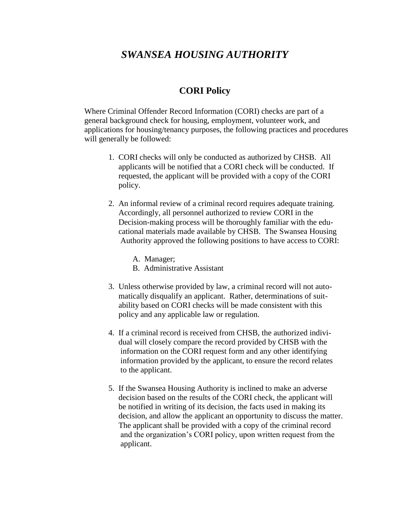## *SWANSEA HOUSING AUTHORITY*

## **CORI Policy**

Where Criminal Offender Record Information (CORI) checks are part of a general background check for housing, employment, volunteer work, and applications for housing/tenancy purposes, the following practices and procedures will generally be followed:

- 1. CORI checks will only be conducted as authorized by CHSB. All applicants will be notified that a CORI check will be conducted. If requested, the applicant will be provided with a copy of the CORI policy.
- 2. An informal review of a criminal record requires adequate training. Accordingly, all personnel authorized to review CORI in the Decision-making process will be thoroughly familiar with the edu cational materials made available by CHSB. The Swansea Housing Authority approved the following positions to have access to CORI:

A. Manager; B. Administrative Assistant

- 3. Unless otherwise provided by law, a criminal record will not auto matically disqualify an applicant. Rather, determinations of suit ability based on CORI checks will be made consistent with this policy and any applicable law or regulation.
- 4. If a criminal record is received from CHSB, the authorized indivi dual will closely compare the record provided by CHSB with the information on the CORI request form and any other identifying information provided by the applicant, to ensure the record relates to the applicant.
- 5. If the Swansea Housing Authority is inclined to make an adverse decision based on the results of the CORI check, the applicant will be notified in writing of its decision, the facts used in making its decision, and allow the applicant an opportunity to discuss the matter. The applicant shall be provided with a copy of the criminal record and the organization's CORI policy, upon written request from the applicant.